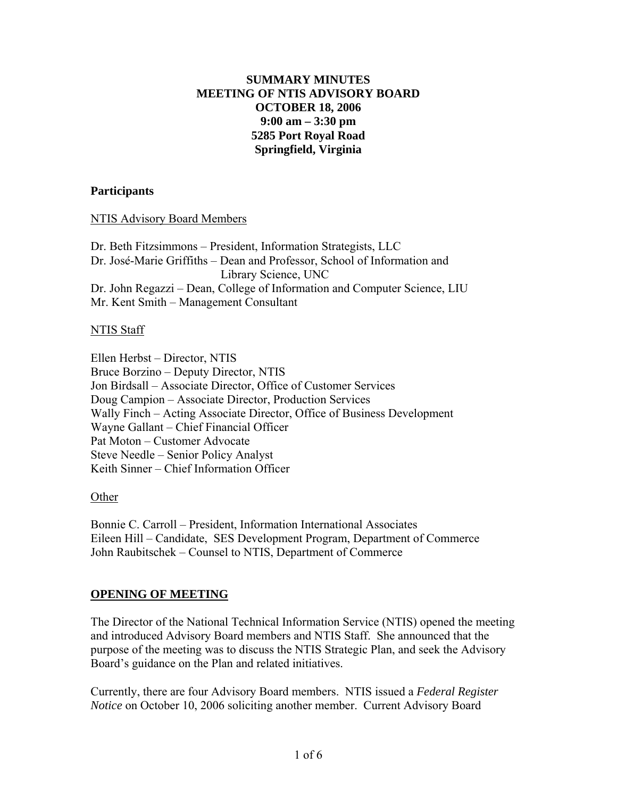# **SUMMARY MINUTES MEETING OF NTIS ADVISORY BOARD OCTOBER 18, 2006 9:00 am – 3:30 pm 5285 Port Royal Road Springfield, Virginia**

### **Participants**

NTIS Advisory Board Members

Dr. Beth Fitzsimmons – President, Information Strategists, LLC Dr. Jose-Marie Griffiths – Dean and Professor, School of Information and Library Science, UNC Dr. John Regazzi – Dean, College of Information and Computer Science, LIU Mr. Kent Smith – Management Consultant

### NTIS Staff

Ellen Herbst – Director, NTIS Bruce Borzino – Deputy Director, NTIS Jon Birdsall – Associate Director, Office of Customer Services Doug Campion – Associate Director, Production Services Wally Finch – Acting Associate Director, Office of Business Development Wayne Gallant – Chief Financial Officer Pat Moton – Customer Advocate Steve Needle – Senior Policy Analyst Keith Sinner – Chief Information Officer

Other

Bonnie C. Carroll – President, Information International Associates Eileen Hill – Candidate, SES Development Program, Department of Commerce John Raubitschek – Counsel to NTIS, Department of Commerce

# **OPENING OF MEETING**

The Director of the National Technical Information Service (NTIS) opened the meeting and introduced Advisory Board members and NTIS Staff. She announced that the purpose of the meeting was to discuss the NTIS Strategic Plan, and seek the Advisory Board's guidance on the Plan and related initiatives.

Currently, there are four Advisory Board members. NTIS issued a *Federal Register Notice* on October 10, 2006 soliciting another member. Current Advisory Board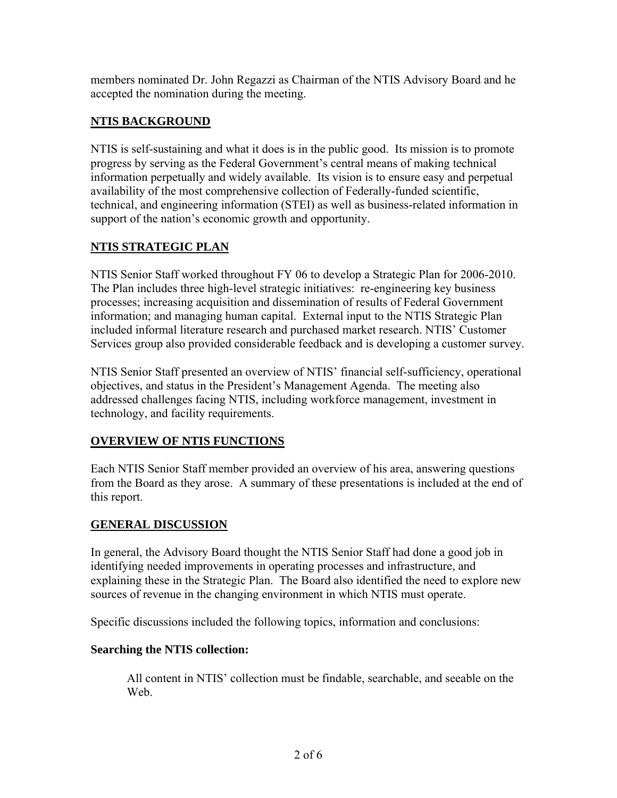members nominated Dr. John Regazzi as Chairman of the NTIS Advisory Board and he accepted the nomination during the meeting.

# **NTIS BACKGROUND**

NTIS is self-sustaining and what it does is in the public good. Its mission is to promote progress by serving as the Federal Government's central means of making technical information perpetually and widely available. Its vision is to ensure easy and perpetual availability of the most comprehensive collection of Federally-funded scientific, technical, and engineering information (STEI) as well as business-related information in support of the nation's economic growth and opportunity.

# **NTIS STRATEGIC PLAN**

NTIS Senior Staff worked throughout FY 06 to develop a Strategic Plan for 2006-2010. The Plan includes three high-level strategic initiatives: re-engineering key business processes; increasing acquisition and dissemination of results of Federal Government information; and managing human capital. External input to the NTIS Strategic Plan included informal literature research and purchased market research. NTIS' Customer Services group also provided considerable feedback and is developing a customer survey.

NTIS Senior Staff presented an overview of NTIS' financial self-sufficiency, operational objectives, and status in the President's Management Agenda. The meeting also addressed challenges facing NTIS, including workforce management, investment in technology, and facility requirements.

# **OVERVIEW OF NTIS FUNCTIONS**

Each NTIS Senior Staff member provided an overview of his area, answering questions from the Board as they arose. A summary of these presentations is included at the end of this report.

# **GENERAL DISCUSSION**

In general, the Advisory Board thought the NTIS Senior Staff had done a good job in identifying needed improvements in operating processes and infrastructure, and explaining these in the Strategic Plan. The Board also identified the need to explore new sources of revenue in the changing environment in which NTIS must operate.

Specific discussions included the following topics, information and conclusions:

# **Searching the NTIS collection:**

All content in NTIS' collection must be findable, searchable, and seeable on the We<sub>b</sub>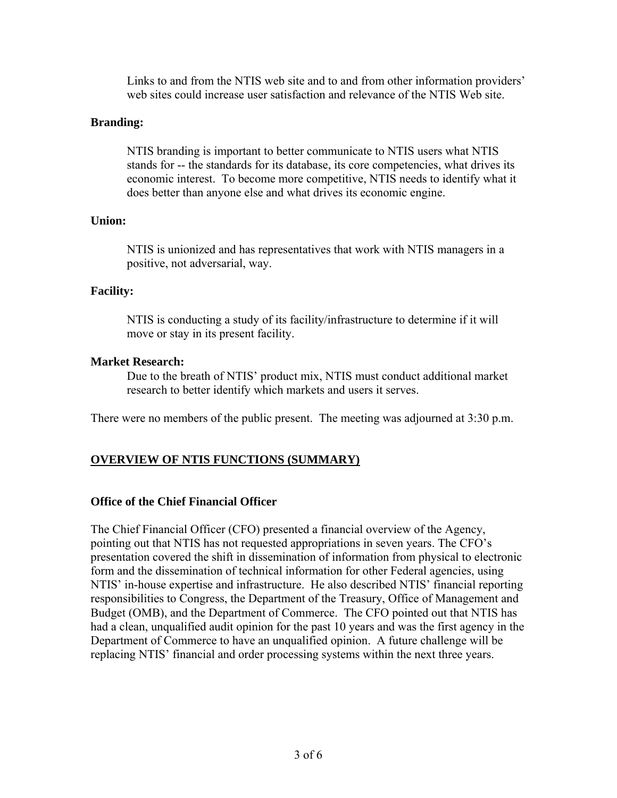Links to and from the NTIS web site and to and from other information providers' web sites could increase user satisfaction and relevance of the NTIS Web site.

### **Branding:**

NTIS branding is important to better communicate to NTIS users what NTIS stands for -- the standards for its database, its core competencies, what drives its economic interest. To become more competitive, NTIS needs to identify what it does better than anyone else and what drives its economic engine.

#### **Union:**

NTIS is unionized and has representatives that work with NTIS managers in a positive, not adversarial, way.

# **Facility:**

NTIS is conducting a study of its facility/infrastructure to determine if it will move or stay in its present facility.

### **Market Research:**

Due to the breath of NTIS' product mix, NTIS must conduct additional market research to better identify which markets and users it serves.

There were no members of the public present. The meeting was adjourned at 3:30 p.m.

# **OVERVIEW OF NTIS FUNCTIONS (SUMMARY)**

# **Office of the Chief Financial Officer**

The Chief Financial Officer (CFO) presented a financial overview of the Agency, pointing out that NTIS has not requested appropriations in seven years. The CFO's presentation covered the shift in dissemination of information from physical to electronic form and the dissemination of technical information for other Federal agencies, using NTIS' in-house expertise and infrastructure. He also described NTIS' financial reporting responsibilities to Congress, the Department of the Treasury, Office of Management and Budget (OMB), and the Department of Commerce. The CFO pointed out that NTIS has had a clean, unqualified audit opinion for the past 10 years and was the first agency in the Department of Commerce to have an unqualified opinion. A future challenge will be replacing NTIS' financial and order processing systems within the next three years.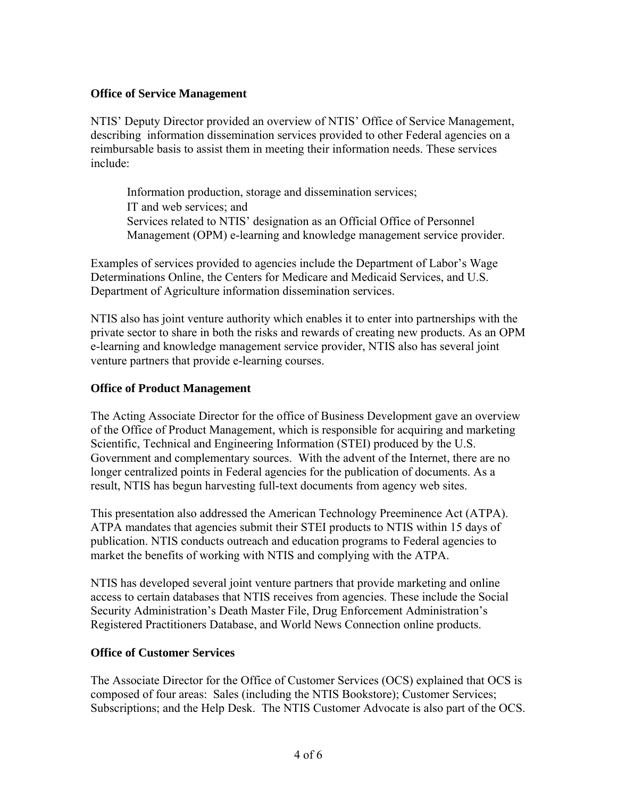# **Office of Service Management**

NTIS' Deputy Director provided an overview of NTIS' Office of Service Management, describing information dissemination services provided to other Federal agencies on a reimbursable basis to assist them in meeting their information needs. These services include:

Information production, storage and dissemination services; IT and web services; and Services related to NTIS' designation as an Official Office of Personnel Management (OPM) e-learning and knowledge management service provider.

Examples of services provided to agencies include the Department of Labor's Wage Determinations Online, the Centers for Medicare and Medicaid Services, and U.S. Department of Agriculture information dissemination services.

NTIS also has joint venture authority which enables it to enter into partnerships with the private sector to share in both the risks and rewards of creating new products. As an OPM e-learning and knowledge management service provider, NTIS also has several joint venture partners that provide e-learning courses.

### **Office of Product Management**

The Acting Associate Director for the office of Business Development gave an overview of the Office of Product Management, which is responsible for acquiring and marketing Scientific, Technical and Engineering Information (STEI) produced by the U.S. Government and complementary sources. With the advent of the Internet, there are no longer centralized points in Federal agencies for the publication of documents. As a result, NTIS has begun harvesting full-text documents from agency web sites.

This presentation also addressed the American Technology Preeminence Act (ATPA). ATPA mandates that agencies submit their STEI products to NTIS within 15 days of publication. NTIS conducts outreach and education programs to Federal agencies to market the benefits of working with NTIS and complying with the ATPA.

NTIS has developed several joint venture partners that provide marketing and online access to certain databases that NTIS receives from agencies. These include the Social Security Administration's Death Master File, Drug Enforcement Administration's Registered Practitioners Database, and World News Connection online products.

#### **Office of Customer Services**

The Associate Director for the Office of Customer Services (OCS) explained that OCS is composed of four areas: Sales (including the NTIS Bookstore); Customer Services; Subscriptions; and the Help Desk. The NTIS Customer Advocate is also part of the OCS.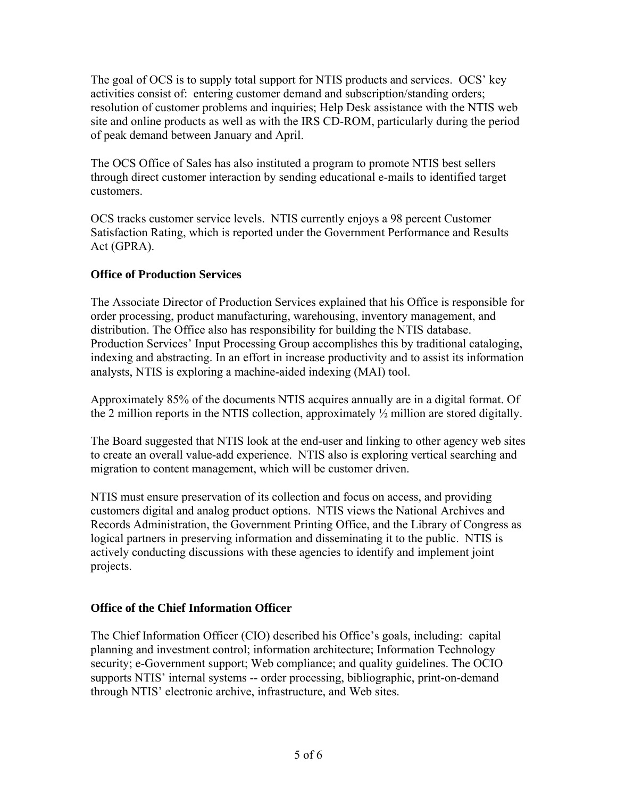The goal of OCS is to supply total support for NTIS products and services. OCS' key activities consist of: entering customer demand and subscription/standing orders; resolution of customer problems and inquiries; Help Desk assistance with the NTIS web site and online products as well as with the IRS CD-ROM, particularly during the period of peak demand between January and April.

The OCS Office of Sales has also instituted a program to promote NTIS best sellers through direct customer interaction by sending educational e-mails to identified target customers.

OCS tracks customer service levels. NTIS currently enjoys a 98 percent Customer Satisfaction Rating, which is reported under the Government Performance and Results Act (GPRA).

# **Office of Production Services**

The Associate Director of Production Services explained that his Office is responsible for order processing, product manufacturing, warehousing, inventory management, and distribution. The Office also has responsibility for building the NTIS database. Production Services' Input Processing Group accomplishes this by traditional cataloging, indexing and abstracting. In an effort in increase productivity and to assist its information analysts, NTIS is exploring a machine-aided indexing (MAI) tool.

Approximately 85% of the documents NTIS acquires annually are in a digital format. Of the 2 million reports in the NTIS collection, approximately ½ million are stored digitally.

The Board suggested that NTIS look at the end-user and linking to other agency web sites to create an overall value-add experience. NTIS also is exploring vertical searching and migration to content management, which will be customer driven.

NTIS must ensure preservation of its collection and focus on access, and providing customers digital and analog product options. NTIS views the National Archives and Records Administration, the Government Printing Office, and the Library of Congress as logical partners in preserving information and disseminating it to the public. NTIS is actively conducting discussions with these agencies to identify and implement joint projects.

# **Office of the Chief Information Officer**

The Chief Information Officer (CIO) described his Office's goals, including: capital planning and investment control; information architecture; Information Technology security; e-Government support; Web compliance; and quality guidelines. The OCIO supports NTIS' internal systems -- order processing, bibliographic, print-on-demand through NTIS' electronic archive, infrastructure, and Web sites.